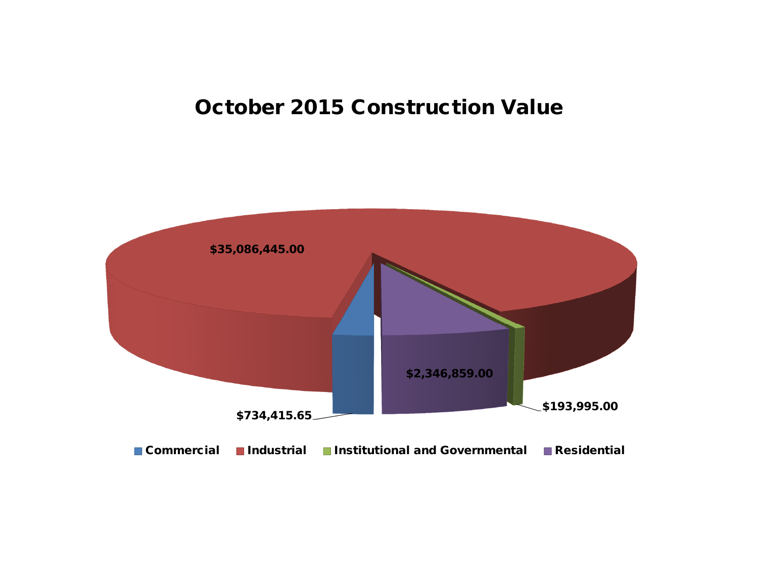# **October 2015 Construction Value**

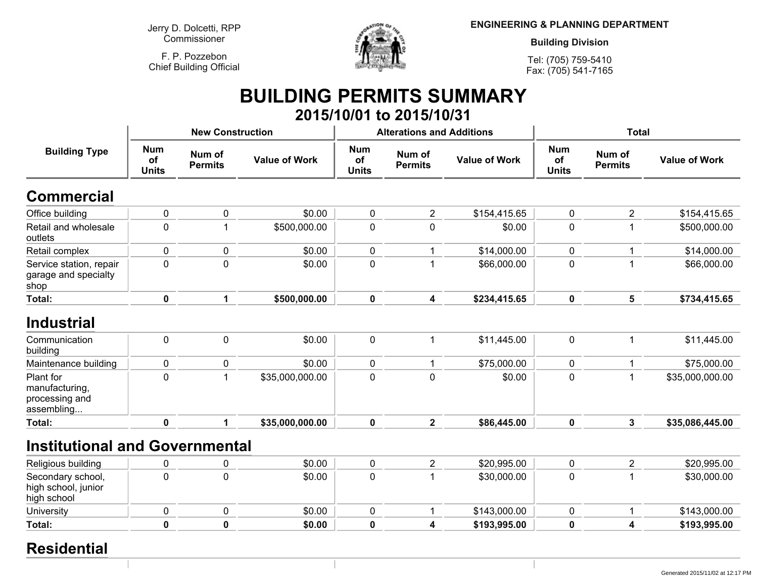**Jerry D. Dolcetti, RPPCommissioner**

**F. P. PozzebonChief Building Official**



**ENGINEERING & PLANNING DEPARTMENT**

**Building Division**

**Tel: (705) 759-5410Fax: (705) 541-7165**

## **BUILDING PERMITS SUMMARY 2015/10/01 to 2015/10/31**

| <b>Building Type</b>                                        |                                  | <b>New Construction</b>  |                      |                                  | <b>Alterations and Additions</b> |                      | <b>Total</b>                     |                          |                      |  |
|-------------------------------------------------------------|----------------------------------|--------------------------|----------------------|----------------------------------|----------------------------------|----------------------|----------------------------------|--------------------------|----------------------|--|
|                                                             | <b>Num</b><br>of<br><b>Units</b> | Num of<br><b>Permits</b> | <b>Value of Work</b> | <b>Num</b><br>of<br><b>Units</b> | Num of<br><b>Permits</b>         | <b>Value of Work</b> | <b>Num</b><br>of<br><b>Units</b> | Num of<br><b>Permits</b> | <b>Value of Work</b> |  |
| Commercial                                                  |                                  |                          |                      |                                  |                                  |                      |                                  |                          |                      |  |
| Office building                                             | 0                                | 0                        | \$0.00               | 0                                | $\overline{2}$                   | \$154,415.65         | 0                                | $\overline{2}$           | \$154,415.65         |  |
| Retail and wholesale<br>outlets                             | $\mathbf 0$                      |                          | \$500,000.00         | 0                                | $\mathbf 0$                      | \$0.00               | $\mathbf 0$                      | 1                        | \$500,000.00         |  |
| Retail complex                                              | 0                                | $\Omega$                 | \$0.00               | 0                                | 1                                | \$14,000.00          | 0                                |                          | \$14,000.00          |  |
| Service station, repair<br>garage and specialty<br>shop     | $\mathbf 0$                      | $\mathbf 0$              | \$0.00               | $\pmb{0}$                        | 1                                | \$66,000.00          | $\mathbf 0$                      | 1                        | \$66,000.00          |  |
| Total:                                                      | 0                                | 1                        | \$500,000.00         | 0                                | 4                                | \$234,415.65         | $\mathbf 0$                      | 5                        | \$734,415.65         |  |
| Industrial                                                  |                                  |                          |                      |                                  |                                  |                      |                                  |                          |                      |  |
| Communication<br>building                                   | 0                                | $\mathbf 0$              | \$0.00               | $\mathbf 0$                      | 1                                | \$11,445.00          | $\mathbf 0$                      | 1                        | \$11,445.00          |  |
| Maintenance building                                        | 0                                | 0                        | \$0.00               | 0                                | 1                                | \$75,000.00          | 0                                | 1                        | \$75,000.00          |  |
| Plant for<br>manufacturing,<br>processing and<br>assembling | 0                                |                          | \$35,000,000.00      | $\pmb{0}$                        | $\mathbf 0$                      | \$0.00               | 0                                | 1                        | \$35,000,000.00      |  |
| Total:                                                      | 0                                | 1.                       | \$35,000,000.00      | $\mathbf 0$                      | $\mathbf{2}$                     | \$86,445.00          | $\mathbf 0$                      | 3                        | \$35,086,445.00      |  |
| <b>Institutional and Governmental</b>                       |                                  |                          |                      |                                  |                                  |                      |                                  |                          |                      |  |
| Religious building                                          | 0                                | 0                        | \$0.00               | 0                                | $\overline{2}$                   | \$20,995.00          | $\mathbf{0}$                     | 2                        | \$20,995.00          |  |
| Cooppdam approol                                            | $\sim$                           | $\sim$                   | ሮስ ሰሰ                | $\sim$                           | $\overline{A}$                   | no ooo oo            | $\sim$                           | $\overline{\phantom{a}}$ | na ana an            |  |

| <b>Total:</b>                                           |  | \$0.00 |  | \$193,995.00 |  | \$193,995.00 |
|---------------------------------------------------------|--|--------|--|--------------|--|--------------|
| <b>University</b>                                       |  | \$0.00 |  | \$143,000.00 |  | \$143,000.00 |
| Secondary school,<br>high school, junior<br>high school |  | \$0.00 |  | \$30,000.00  |  | \$30,000.00  |
| ີ                                                       |  |        |  |              |  |              |

#### **Residential**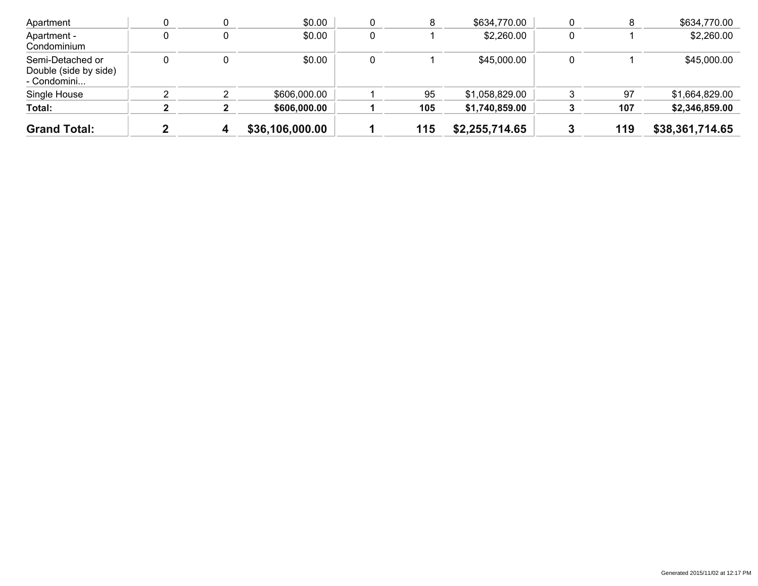| <b>Grand Total:</b>                                      |   | 4 | \$36,106,000.00 |   | 115 | \$2,255,714.65 |   | 119 | \$38,361,714.65 |
|----------------------------------------------------------|---|---|-----------------|---|-----|----------------|---|-----|-----------------|
| Total:                                                   |   |   | \$606,000.00    |   | 105 | \$1,740,859.00 |   | 107 | \$2,346,859.00  |
| Single House                                             |   |   | \$606,000.00    |   | 95  | \$1,058,829.00 |   | 97  | \$1,664,829.00  |
| Semi-Detached or<br>Double (side by side)<br>- Condomini |   |   | \$0.00          |   |     | \$45,000.00    |   |     | \$45,000.00     |
| Apartment -<br>Condominium                               | 0 | 0 | \$0.00          | u |     | \$2,260.00     | 0 |     | \$2,260.00      |
| Apartment                                                |   |   | \$0.00          |   |     | \$634,770.00   |   | Ö   | \$634,770.00    |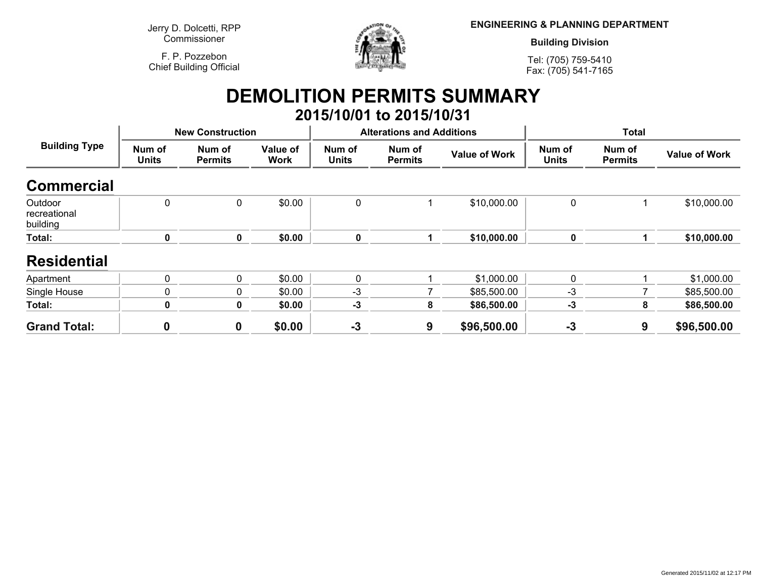**Jerry D. Dolcetti, RPPCommissioner**

**F. P. PozzebonChief Building Official**



**ENGINEERING & PLANNING DEPARTMENT**

**Building Division**

**Tel: (705) 759-5410Fax: (705) 541-7165**

## **DEMOLITION PERMITS SUMMARY 2015/10/01 to 2015/10/31**

| <b>Building Type</b>                | <b>New Construction</b> |                          |                         |                        | <b>Alterations and Additions</b> |                      | <b>Total</b>           |                          |                      |
|-------------------------------------|-------------------------|--------------------------|-------------------------|------------------------|----------------------------------|----------------------|------------------------|--------------------------|----------------------|
|                                     | Num of<br><b>Units</b>  | Num of<br><b>Permits</b> | Value of<br><b>Work</b> | Num of<br><b>Units</b> | Num of<br><b>Permits</b>         | <b>Value of Work</b> | Num of<br><b>Units</b> | Num of<br><b>Permits</b> | <b>Value of Work</b> |
| <b>Commercial</b>                   |                         |                          |                         |                        |                                  |                      |                        |                          |                      |
| Outdoor<br>recreational<br>building | $\mathbf 0$             | 0                        | \$0.00                  | 0                      |                                  | \$10,000.00          | 0                      |                          | \$10,000.00          |
| Total:                              | 0                       | $\mathbf 0$              | \$0.00                  | $\mathbf 0$            |                                  | \$10,000.00          | $\mathbf 0$            |                          | \$10,000.00          |
| <b>Residential</b>                  |                         |                          |                         |                        |                                  |                      |                        |                          |                      |
| Apartment                           | $\Omega$                | 0                        | \$0.00                  | $\mathbf{0}$           |                                  | \$1,000.00           | 0                      |                          | \$1,000.00           |
| Single House                        | 0                       | 0                        | \$0.00                  | -3                     |                                  | \$85,500.00          | $-3$                   |                          | \$85,500.00          |
| Total:                              | $\mathbf{0}$            | 0                        | \$0.00                  | $-3$                   | 8                                | \$86,500.00          | $-3$                   | 8                        | \$86,500.00          |
| <b>Grand Total:</b>                 | $\boldsymbol{0}$        | $\mathbf 0$              | \$0.00                  | $-3$                   | 9                                | \$96,500.00          | $-3$                   | 9                        | \$96,500.00          |